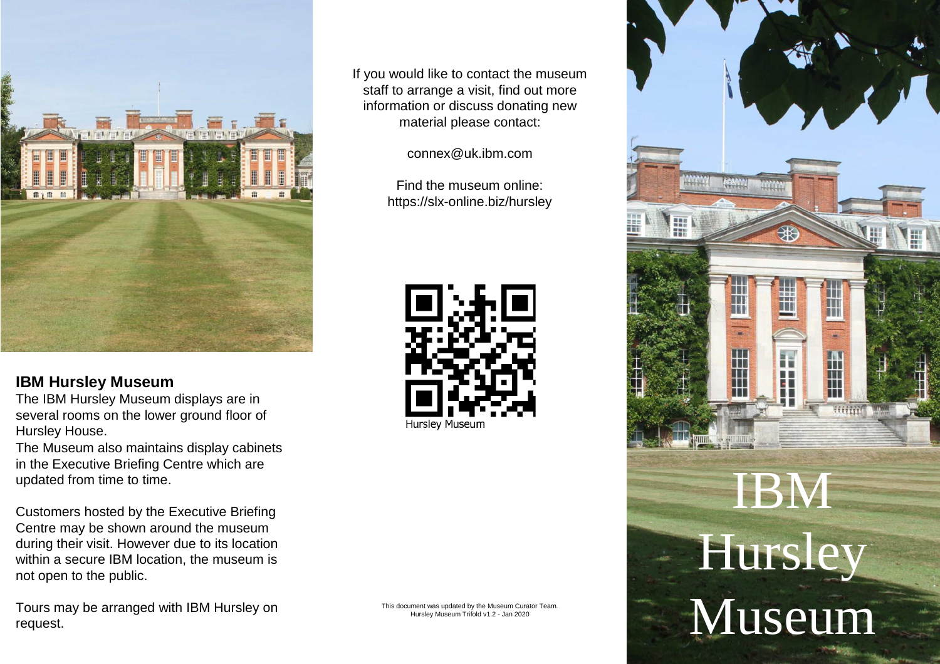

# **IBM Hursley Museum**

The IBM Hursley Museum displays are in several rooms on the lower ground floor of Hursley House.

The Museum also maintains display cabinets in the Executive Briefing Centre which are updated from time to time.

Customers hosted by the Executive Briefing Centre may be shown around the museum during their visit. However due to its location within a secure IBM location, the museum is not open to the public.

Tours may be arranged with IBM Hursley on request.

If you would like to contact the museum staff to arrange a visit, find out more information or discuss donating new material please contact:

connex@uk.ibm.com

Find the museum online: https://slx-online.biz/hursley



This document was updated by the Museum Curator Team. Hursley Museum Trifold v1.2 - Jan 2020